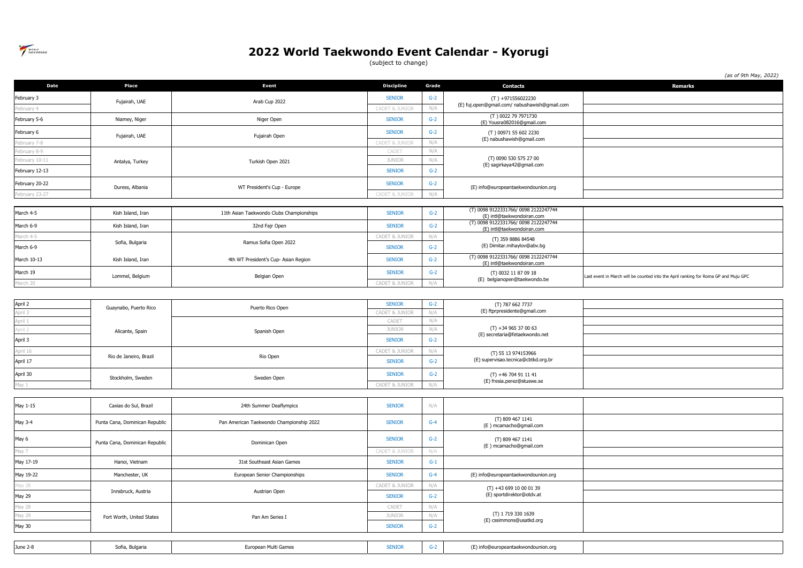

(subject to change)

*(as of 9th May, 2022)*

| Date           | Place                          | <b>Event</b>                             | <b>Discipline</b>         | Grade        | <b>Contacts</b>                                                    | <b>Remarks</b>                                                                      |
|----------------|--------------------------------|------------------------------------------|---------------------------|--------------|--------------------------------------------------------------------|-------------------------------------------------------------------------------------|
| February 3     | Fujairah, UAE                  | Arab Cup 2022                            | <b>SENIOR</b>             | $G-2$        | $(T) +971556022230$                                                |                                                                                     |
| ebruary 4      |                                |                                          | <b>CADET &amp; JUNIOR</b> | N/A          | (E) fuj.open@gmail.com/ nabushawish@gmail.com                      |                                                                                     |
| February 5-6   | Niamey, Niger                  | Niger Open                               | <b>SENIOR</b>             | $G-2$        | (T) 0022 79 7971730<br>(E) Yousra082016@gmail.com                  |                                                                                     |
| February 6     |                                |                                          | <b>SENIOR</b>             | $G-2$        | (T) 00971 55 602 2230                                              |                                                                                     |
| ebruary 7-8    | Fujairah, UAE                  | Fujairah Open                            | CADET & JUNIOR            | N/A          | (E) nabushawish@gmail.com                                          |                                                                                     |
| ebruary 8-9    |                                |                                          | CADET                     | N/A          |                                                                    |                                                                                     |
| ebruary 10-11  | Antalya, Turkey                | Turkish Open 2021                        | JUNIOR                    | N/A          | (T) 0090 530 575 27 00<br>(E) sagirkaya42@gmail.com                |                                                                                     |
| February 12-13 |                                |                                          | <b>SENIOR</b>             | $G-2$        |                                                                    |                                                                                     |
| February 20-22 | Duress, Albania                | WT President's Cup - Europe              | <b>SENIOR</b>             | $G-2$        | (E) info@europeantaekwondounion.org                                |                                                                                     |
| February 23-27 |                                |                                          | CADET & JUNIOR            | N/A          |                                                                    |                                                                                     |
|                |                                |                                          |                           |              |                                                                    |                                                                                     |
| March 4-5      | Kish Island, Iran              | 11th Asian Taekwondo Clubs Championships | <b>SENIOR</b>             | $G-2$        | (T) 0098 9122331766/ 0098 2122247744<br>(E) intl@taekwondoiran.com |                                                                                     |
| March 6-9      | Kish Island, Iran              | 32nd Fajr Open                           | <b>SENIOR</b>             | $G-2$        | (T) 0098 9122331766/ 0098 2122247744<br>(E) intl@taekwondoiran.com |                                                                                     |
| larch 4-5      |                                |                                          | CADET & JUNIOR            | N/A          | (T) 359 8886 84548                                                 |                                                                                     |
| March 6-9      | Sofia, Bulgaria                | Ramus Sofia Open 2022                    | <b>SENIOR</b>             | $G-2$        | (E) Dimitar.mihaylov@abv.bg                                        |                                                                                     |
| March 10-13    | Kish Island, Iran              | 4th WT President's Cup- Asian Region     | <b>SENIOR</b>             | $G-2$        | (T) 0098 9122331766/ 0098 2122247744<br>(E) intl@taekwondoiran.com |                                                                                     |
| March 19       | Lommel, Belgium                | Belgian Open                             | <b>SENIOR</b>             | $G-2$        | (T) 0032 11 87 09 18                                               | Last event in March will be counted into the April ranking for Roma GP and Muju GPC |
| March 20       |                                |                                          | <b>CADET &amp; JUNIOR</b> | N/A          | (E) belgianopen@taekwondo.be                                       |                                                                                     |
|                |                                |                                          |                           |              |                                                                    |                                                                                     |
| April 2        |                                | Puerto Rico Open                         | <b>SENIOR</b>             | $G-2$        | (T) 787 662 7737<br>(E) ftprpresidente@gmail.com                   |                                                                                     |
| pril 3         | Guaynabo, Puerto Rico          |                                          | CADET & JUNIOR            | N/A          |                                                                    |                                                                                     |
| pril 1         |                                | Spanish Open                             | CADET                     | N/A          | $(T) +34965370063$<br>(E) secretaria@fetaekwondo.net               |                                                                                     |
| oril 2         | Alicante, Spain                |                                          | JUNIOR                    | N/A          |                                                                    |                                                                                     |
| April 3        |                                |                                          | <b>SENIOR</b>             | $G-2$        |                                                                    |                                                                                     |
| April 16       | Rio de Janeiro, Brazil         | Rio Open                                 | <b>CADET &amp; JUNIOR</b> | N/A<br>$G-2$ | (T) 55 13 974153966<br>(E) supervisao.tecnica@cbtkd.org.br         |                                                                                     |
| April 17       |                                |                                          | <b>SENIOR</b>             |              |                                                                    |                                                                                     |
| April 30       | Stockholm, Sweden              | Sweden Open                              | <b>SENIOR</b>             | $G-2$        | $(T) +46704911141$<br>(E) fresia.perez@stuswe.se                   |                                                                                     |
| May 1          |                                |                                          | CADET & JUNIOR            | N/A          |                                                                    |                                                                                     |
|                |                                |                                          |                           |              |                                                                    |                                                                                     |
| May 1-15       | Caxias do Sul, Brazil          | 24th Summer Deaflympics                  | <b>SENIOR</b>             | N/A          |                                                                    |                                                                                     |
| May 3-4        | Punta Cana, Dominican Republic | Pan American Taekwondo Championship 2022 | <b>SENIOR</b>             | $G-4$        | (T) 809 467 1141<br>(E) mcamacho@gmail.com                         |                                                                                     |
| May 6          | Punta Cana, Dominican Republic | Dominican Open                           | <b>SENIOR</b>             | $G-2$        | (T) 809 467 1141                                                   |                                                                                     |
| May 7          |                                |                                          | CADET & JUNIOR            | N/A          | (E) mcamacho@gmail.com                                             |                                                                                     |
| May 17-19      | Hanoi, Vietnam                 | 31st Southeast Asian Games               | <b>SENIOR</b>             | $G-1$        |                                                                    |                                                                                     |
| May 19-22      | Manchester, UK                 | European Senior Championships            | <b>SENIOR</b>             | $G-4$        | (E) info@europeantaekwondounion.org                                |                                                                                     |
| lay 28         |                                | Austrian Open                            | CADET & JUNIOR            | N/A          | $(T) +4369910000139$                                               |                                                                                     |
| May 29         | Innsbruck, Austria             |                                          | <b>SENIOR</b>             | $G-2$        | (E) sportdirektor@otdv.at                                          |                                                                                     |
| lay 28         |                                |                                          | CADET                     | N/A          | (T) 1719 330 1639<br>(E) cssimmons@usatkd.org                      |                                                                                     |
| lay 29         | Fort Worth, United States      | Pan Am Series I                          | <b>JUNIOR</b>             | N/A          |                                                                    |                                                                                     |
| May 30         |                                |                                          | <b>SENIOR</b>             | $G-2$        |                                                                    |                                                                                     |
|                |                                |                                          |                           |              |                                                                    |                                                                                     |
| June 2-8       | Sofia, Bulgaria                | European Multi Games                     | <b>SENIOR</b>             | $G-2$        | (E) info@europeantaekwondounion.org                                |                                                                                     |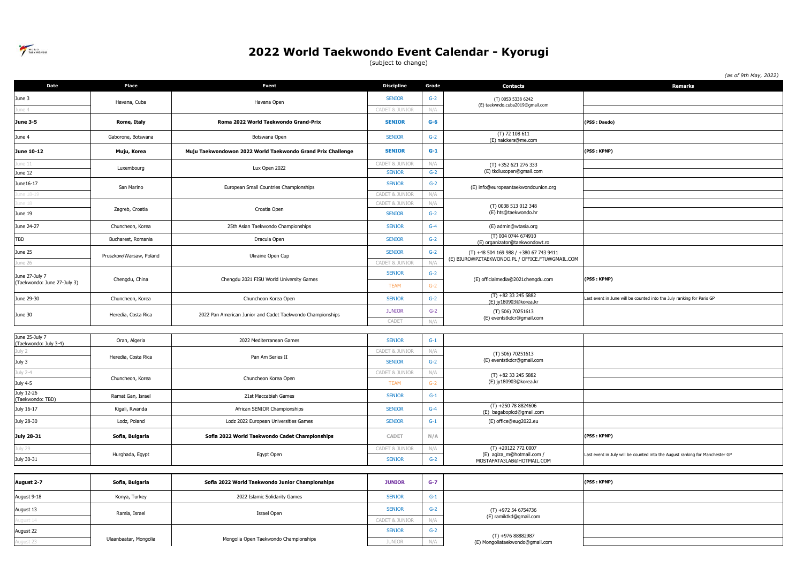

(subject to change)

*(as of 9th May, 2022)*

| Date                           | Place                   | Event                                                       | <b>Discipline</b>              | Grade          | <b>Contacts</b>                                                               | Remarks                                                                      |
|--------------------------------|-------------------------|-------------------------------------------------------------|--------------------------------|----------------|-------------------------------------------------------------------------------|------------------------------------------------------------------------------|
| June 3                         | Havana, Cuba            | Havana Open                                                 | <b>SENIOR</b>                  | $G-2$          | (T) 0053 5338 6242<br>(E) taekwndo.cuba2019@gmail.com                         |                                                                              |
| une 4                          |                         |                                                             | CADET & JUNIO                  | N/A            |                                                                               |                                                                              |
| <b>June 3-5</b>                | Rome, Italy             | Roma 2022 World Taekwondo Grand-Prix                        | <b>SENIOR</b>                  | $G-6$          |                                                                               | (PSS: Daedo)                                                                 |
| June 4                         | Gaborone, Botswana      | Botswana Open                                               | <b>SENIOR</b>                  | $G-2$          | (T) 72 108 611<br>(E) naickers@me.com                                         |                                                                              |
| June 10-12                     | Muju, Korea             | Muju Taekwondowon 2022 World Taekwondo Grand Prix Challenge | <b>SENIOR</b>                  | $G-1$          |                                                                               | (PSS: KPNP)                                                                  |
| ne 11                          | Luxembourg              | Lux Open 2022                                               | CADET & JUNIOR                 | N/A            | $(T) + 352621276333$<br>(E) tkdluxopen@gmail.com                              |                                                                              |
| June 12                        |                         |                                                             | <b>SENIOR</b><br><b>SENIOR</b> | $G-2$<br>$G-2$ |                                                                               |                                                                              |
| June16-17<br>ne 18-1           | San Marino              | European Small Countries Championships                      | <b>CADET &amp; JUNIOR</b>      | N/A            | (E) info@europeantaekwondounion.org                                           |                                                                              |
| ie 18                          |                         |                                                             | CADET & JUNIOR                 | N/A            | (T) 0038 513 012 348                                                          |                                                                              |
| June 19                        | Zagreb, Croatia         | Croatia Open                                                | <b>SENIOR</b>                  | $G-2$          | (E) hts@taekwondo.hr                                                          |                                                                              |
| June 24-27                     | Chuncheon, Korea        | 25th Asian Taekwondo Championships                          | <b>SENIOR</b>                  | $G-4$          | (E) admin@wtasia.org                                                          |                                                                              |
| TBD                            | Bucharest, Romania      | Dracula Open                                                | <b>SENIOR</b>                  | $G-2$          | (T) 004 0744 674910<br>(E) organizator@taekwondowt.ro                         |                                                                              |
| June 25                        |                         |                                                             | <b>SENIOR</b>                  | $G-2$          | (T) +48 504 169 988 / +380 67 743 9411                                        |                                                                              |
| une 26                         | Pruszkow/Warsaw, Poland | Ukraine Open Cup                                            | <b>CADET &amp; JUNIOR</b>      | N/A            | (E) BIURO@PZTAEKWONDO.PL / OFFICE.FTU@GMAIL.COM                               |                                                                              |
| June 27-July 7                 |                         | Chengdu 2021 FISU World University Games                    | <b>SENIOR</b>                  | $G-2$          | (E) officialmedia@2021chengdu.com                                             | (PSS: KPNP)                                                                  |
| (Taekwondo: June 27-July 3)    | Chengdu, China          |                                                             | <b>TEAM</b>                    | $G-2$          |                                                                               |                                                                              |
| June 29-30                     | Chuncheon, Korea        | Chuncheon Korea Open                                        | <b>SENIOR</b>                  | $G-2$          | $(T) +82332455882$<br>(E) jy180903@korea.kr                                   | Last event in June will be counted into the July ranking for Paris GP        |
| June 30                        | Heredia, Costa Rica     | 2022 Pan American Junior and Cadet Taekwondo Championships  | <b>JUNIOR</b>                  | $G-2$          | (T) 506) 70251613<br>(E) eventstkdcr@gmail.com                                |                                                                              |
|                                |                         |                                                             | CADET                          | N/A            |                                                                               |                                                                              |
| June 25-July 7                 | Oran, Algeria           | 2022 Mediterranean Games                                    | <b>SENIOR</b>                  | $G-1$          |                                                                               |                                                                              |
| (Taekwondo: July 3-4)          |                         |                                                             | CADET & JUNIOR                 | N/A            |                                                                               |                                                                              |
| ulv 2<br>July 3                | Heredia, Costa Rica     | Pan Am Series II                                            | <b>SENIOR</b>                  | $G-2$          | (T) 506) 70251613<br>(E) eventstkdcr@gmail.com                                |                                                                              |
| uly 2-4                        |                         |                                                             | CADET & JUNIOR                 | N/A            |                                                                               |                                                                              |
| July 4-5                       | Chuncheon, Korea        | Chuncheon Korea Open                                        | <b>TEAM</b>                    | $G-2$          | $(T) +82332455882$<br>(E) jy180903@korea.kr                                   |                                                                              |
| July 12-26<br>(Taekwondo: TBD) | Ramat Gan, Israel       | 21st Maccabiah Games                                        | <b>SENIOR</b>                  | $G-1$          |                                                                               |                                                                              |
| July 16-17                     | Kigali, Rwanda          | African SENIOR Championships                                | <b>SENIOR</b>                  | $G-4$          | $(T) +250788824606$<br>(E) bagaboplcd@gmail.com                               |                                                                              |
| July 28-30                     | Lodz, Poland            | Lodz 2022 European Universities Games                       | <b>SENIOR</b>                  | $G-1$          | (E) office@eug2022.eu                                                         |                                                                              |
| July 28-31                     | Sofia, Bulgaria         | Sofia 2022 World Taekwondo Cadet Championships              | CADET                          | N/A            |                                                                               | (PSS: KPNP)                                                                  |
| lly 29                         |                         | Egypt Open                                                  | CADET & JUNIOR                 | N/A            | (T) +20122 772 0007<br>(E) agiza_m@hotmail.com /<br>MOSTAFATA3LAB@HOTMAIL.COM | Last event in July will be counted into the August ranking for Manchester GP |
| July 30-31                     | Hurghada, Egypt         |                                                             | <b>SENIOR</b>                  | $G-2$          |                                                                               |                                                                              |
|                                |                         |                                                             |                                |                |                                                                               |                                                                              |
| August 2-7                     | Sofia, Bulgaria         | Sofia 2022 World Taekwondo Junior Championships             | <b>JUNIOR</b>                  | $G-7$          |                                                                               | (PSS: KPNP)                                                                  |
| August 9-18                    | Konya, Turkey           | 2022 Islamic Solidarity Games                               | <b>SENIOR</b>                  | $G-1$          |                                                                               |                                                                              |
| August 13                      |                         | Ramla, Israel<br>Israel Open                                | <b>SENIOR</b>                  | $G-2$          | $(T) +972546754736$                                                           |                                                                              |
| qust 14                        |                         |                                                             | CADET & JUNIOR                 | N/A            | (E) ramiktkd@gmail.com                                                        |                                                                              |
| August 22                      |                         |                                                             | <b>SENIOR</b>                  | $G-2$          | $(T) +97688882987$                                                            |                                                                              |
| qust 23                        | Ulaanbaatar, Mongolia   | Mongolia Open Taekwondo Championships                       | <b>JUNIOR</b>                  | N/A            | (E) Mongoliataekwondo@gmail.com                                               |                                                                              |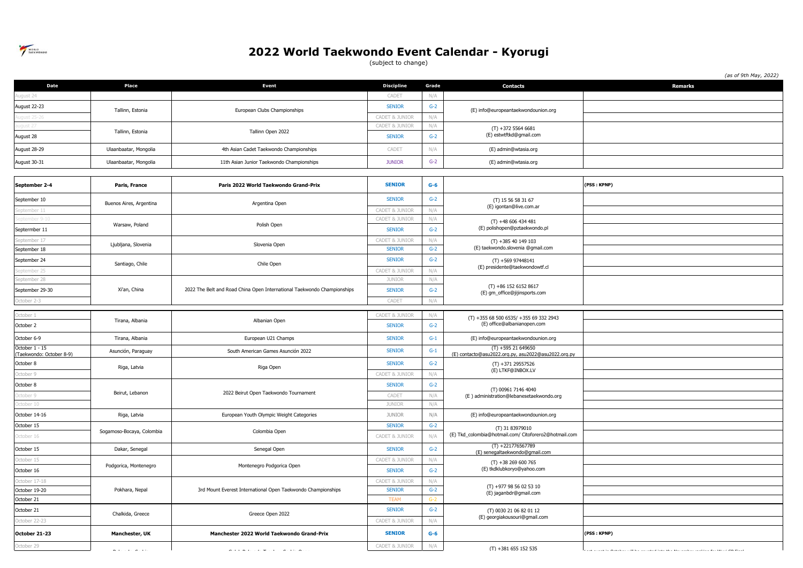

(subject to change)

|                                            |                           |                                                                         |                           |       |                                                                            | (as of 9th May, 2022)                                               |
|--------------------------------------------|---------------------------|-------------------------------------------------------------------------|---------------------------|-------|----------------------------------------------------------------------------|---------------------------------------------------------------------|
| Date                                       | Place                     | <b>Event</b>                                                            | <b>Discipline</b>         | Grade | <b>Contacts</b>                                                            | <b>Remarks</b>                                                      |
| qust 24                                    |                           |                                                                         | CADET                     | N/A   |                                                                            |                                                                     |
| August 22-23                               | Tallinn, Estonia          | European Clubs Championships                                            | <b>SENIOR</b>             | $G-2$ | (E) info@europeantaekwondounion.org                                        |                                                                     |
| laust 25-                                  |                           |                                                                         | <b>CADET &amp; JUNIOR</b> | N/A   |                                                                            |                                                                     |
| aust 21                                    | Tallinn, Estonia          | Tallinn Open 2022                                                       | CADET & JUNIOR            | N/A   | $(T) +37255646681$                                                         |                                                                     |
| August 28                                  |                           |                                                                         | <b>SENIOR</b>             | $G-2$ | (E) estwtftkd@gmail.com                                                    |                                                                     |
| August 28-29                               | Ulaanbaatar, Mongolia     | 4th Asian Cadet Taekwondo Championships                                 | CADET                     | N/A   | (E) admin@wtasia.org                                                       |                                                                     |
| August 30-31                               | Ulaanbaatar, Mongolia     | 11th Asian Junior Taekwondo Championships                               | <b>JUNIOR</b>             | $G-2$ | (E) admin@wtasia.org                                                       |                                                                     |
|                                            |                           |                                                                         |                           |       |                                                                            |                                                                     |
| September 2-4                              | Paris, France             | Paris 2022 World Taekwondo Grand-Prix                                   | <b>SENIOR</b>             | $G-6$ |                                                                            | (PSS: KPNP)                                                         |
| September 10                               | Buenos Aires, Argentina   | Argentina Open                                                          | <b>SENIOR</b>             | $G-2$ | (T) 15 56 58 31 67                                                         |                                                                     |
| eptember 11                                |                           |                                                                         | CADET & JUNIOR            | N/A   | (E) igontan@live.com.ar                                                    |                                                                     |
| mher 9-1                                   | Warsaw, Poland            | Polish Open                                                             | CADET & JUNIOR            | N/A   | $(T) +48606434481$                                                         |                                                                     |
| Septermber 11                              |                           |                                                                         | <b>SENIOR</b>             | $G-2$ | (E) polishopen@pztaekwondo.pl                                              |                                                                     |
| eptember 17                                | Ljubljana, Slovenia       | Slovenia Open                                                           | CADET & JUNIOR            | N/A   | $(T) + 38540149103$                                                        |                                                                     |
| September 18                               |                           |                                                                         | <b>SENIOR</b>             | $G-2$ | (E) taekwondo.slovenia @gmail.com                                          |                                                                     |
| September 24                               | Santiago, Chile           | Chile Open                                                              | <b>SENIOR</b>             | $G-2$ | $(T) + 56997448141$<br>(E) presidente@taekwondowtf.cl                      |                                                                     |
| ptember 25                                 |                           |                                                                         | <b>CADET &amp; JUNIOR</b> | N/A   |                                                                            |                                                                     |
| eptember 28                                |                           | 2022 The Belt and Road China Open International Taekwondo Championships | <b>JUNIOR</b>             | N/A   | $(T) +8615261528617$<br>(E) gm_office@jijinsports.com                      |                                                                     |
| September 29-30                            | Xi'an, China              |                                                                         | <b>SENIOR</b>             | $G-2$ |                                                                            |                                                                     |
| October 2-3                                |                           |                                                                         | CADET                     | N/A   |                                                                            |                                                                     |
| )ctober 1                                  |                           | Albanian Open                                                           | CADET & JUNIOR            | N/A   | (T) +355 68 500 6535/ +355 69 332 2943<br>(E) office@albanianopen.com      |                                                                     |
| October 2                                  | Tirana, Albania           |                                                                         | <b>SENIOR</b>             | $G-2$ |                                                                            |                                                                     |
| October 6-9                                | Tirana, Albania           | European U21 Champs                                                     | <b>SENIOR</b>             | $G-1$ | (E) info@europeantaekwondounion.org                                        |                                                                     |
| October 1 - 15<br>(Taekwondo: October 8-9) | Asunción, Paraguay        | South American Games Asunción 2022                                      | <b>SENIOR</b>             | $G-1$ | $(T) + 59521649650$<br>(E) contacto@asu2022.org.py, asu2022@asu2022.org.py |                                                                     |
| October 8                                  | Riga, Latvia              |                                                                         | <b>SENIOR</b>             | $G-2$ | $(T) +37129557526$                                                         |                                                                     |
| October 9                                  |                           | Riga Open                                                               | CADET & JUNIOR            | N/A   | (E) LTKF@INBOX.LV                                                          |                                                                     |
| October 8                                  |                           |                                                                         | <b>SENIOR</b>             | $G-2$ |                                                                            |                                                                     |
| ctober 9                                   | Beirut, Lebanon           | 2022 Beirut Open Taekwondo Tournament                                   | CADET                     | N/A   | (T) 00961 7146 4040<br>(E) administration@lebanesetaekwondo.org            |                                                                     |
| ctober 10                                  |                           |                                                                         | <b>JUNIOR</b>             | N/A   |                                                                            |                                                                     |
| October 14-16                              | Riga, Latvia              | European Youth Olympic Weight Categories                                | <b>JUNIOR</b>             | N/A   | (E) info@europeantaekwondounion.org                                        |                                                                     |
| October 15                                 | Sogamoso-Bocaya, Colombia |                                                                         | <b>SENIOR</b>             | $G-2$ | (T) 31 83979010                                                            |                                                                     |
| october 16                                 |                           | Colombia Open                                                           | CADET & JUNIOR            | N/A   | (E) Tkd_colombia@hotmail.com/ Citoforero2@hotmail.com                      |                                                                     |
| October 15                                 | Dakar, Senegal            | Senegal Open                                                            | <b>SENIOR</b>             | $G-2$ | $(T) +221776567789$<br>(E) senegaltaekwondo@gmail.com                      |                                                                     |
| October 15                                 | Podgorica, Montenegro     | Montenegro Podgorica Open                                               | CADET & JUNIOR            | N/A   | $(T) +38269600765$                                                         |                                                                     |
| October 16                                 |                           |                                                                         | <b>SENIOR</b>             | $G-2$ | (E) tkdklubkoryo@yahoo.com                                                 |                                                                     |
| october 17-18                              |                           |                                                                         | CADET & JUNIOR            | N/A   | $(T) +9779856025310$                                                       |                                                                     |
| October 19-20                              | Pokhara, Nepal            | 3rd Mount Everest International Open Taekwondo Championships            | <b>SENIOR</b>             | $G-2$ | (E) jaganbdr@gmail.com                                                     |                                                                     |
| October 21                                 |                           |                                                                         | <b>TEAM</b>               | $G-2$ |                                                                            |                                                                     |
| October 21                                 | Chalkida, Greece          | Greece Open 2022                                                        | <b>SENIOR</b>             | $G-2$ | (T) 0030 21 06 82 01 12<br>(E) georgiakousouri@gmail.com                   |                                                                     |
| October 22-23                              |                           |                                                                         | CADET & JUNIOR            | N/A   |                                                                            |                                                                     |
| October 21-23                              | Manchester, UK            | Manchester 2022 World Taekwondo Grand-Prix                              | <b>SENIOR</b>             | $G-6$ |                                                                            | (PSS: KPNP)                                                         |
| October 29                                 | المحاطب والمنط            | لمنتبط التناسيب المصادية                                                | CADET & JUNIOR            | N/A   | $(T) + 381655152535$                                                       | $\mathbf{r} \leftarrow \mathbf{r} \mathbf{r} \leftarrow \mathbf{r}$ |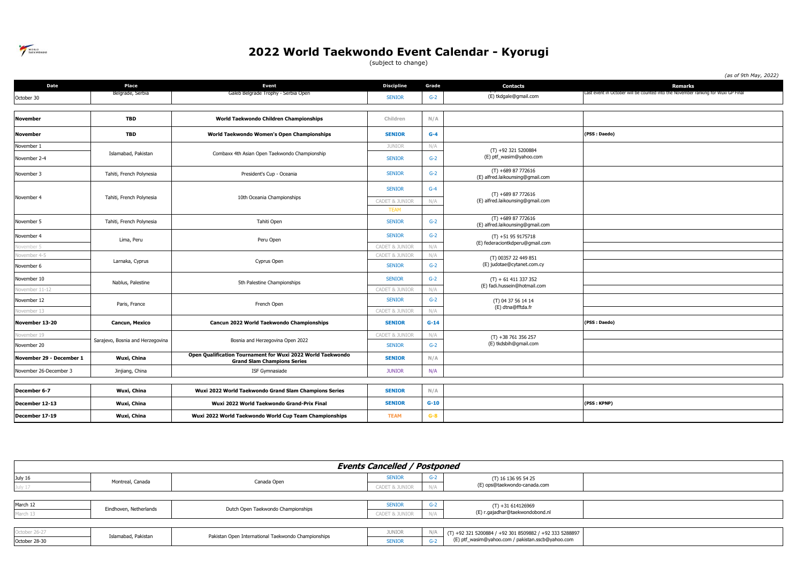

(subject to change)

|                          |                                  |                                                                                                   |                           |        |                                                        | (as of 9th May, 2022)                                                             |
|--------------------------|----------------------------------|---------------------------------------------------------------------------------------------------|---------------------------|--------|--------------------------------------------------------|-----------------------------------------------------------------------------------|
| <b>Date</b>              | Place                            | <b>Event</b>                                                                                      | <b>Discipline</b>         | Grade  | <b>Contacts</b>                                        | <b>Remarks</b>                                                                    |
| October 30               | Belgrade, Serbia                 | Galeb Belgrade Trophy - Serbia Open                                                               | <b>SENIOR</b>             | $G-2$  | (E) tkdgale@gmail.com                                  | Last event in October will be counted into the November ranking for Wuxi GP Final |
|                          |                                  |                                                                                                   |                           |        |                                                        |                                                                                   |
| November                 | <b>TBD</b>                       | World Taekwondo Children Championships                                                            | Children                  | N/A    |                                                        |                                                                                   |
| <b>November</b>          | <b>TBD</b>                       | World Taekwondo Women's Open Championships                                                        | <b>SENIOR</b>             | $G-4$  |                                                        | (PSS: Daedo)                                                                      |
| November 1               |                                  |                                                                                                   | <b>JUNIOR</b>             | N/A    |                                                        |                                                                                   |
| November 2-4             | Islamabad, Pakistan              | Combaxx 4th Asian Open Taekwondo Championship                                                     | <b>SENIOR</b>             | $G-2$  | $(T) +923215200884$<br>(E) ptf_wasim@yahoo.com         |                                                                                   |
| November 3               | Tahiti, French Polynesia         | President's Cup - Oceania                                                                         | <b>SENIOR</b>             | $G-2$  | $(T) +68987772616$<br>(E) alfred.laikounsing@gmail.com |                                                                                   |
|                          |                                  |                                                                                                   | <b>SENIOR</b>             | $G-4$  | $(T) +68987772616$<br>(E) alfred.laikounsing@gmail.com |                                                                                   |
| November 4               | Tahiti, French Polynesia         | 10th Oceania Championships                                                                        | <b>CADET &amp; JUNIOR</b> | N/A    |                                                        |                                                                                   |
|                          |                                  |                                                                                                   | <b>TEAM</b>               |        |                                                        |                                                                                   |
| November 5               | Tahiti, French Polynesia         | Tahiti Open                                                                                       | <b>SENIOR</b>             | $G-2$  | $(T) +68987772616$<br>(E) alfred.laikounsing@gmail.com |                                                                                   |
| November 4               | Lima, Peru                       | Peru Open                                                                                         | <b>SENIOR</b>             | $G-2$  | $(T) + 51959175718$<br>(E) federaciontkdperu@gmail.com |                                                                                   |
| lovember 5               |                                  |                                                                                                   | <b>CADET &amp; JUNIOR</b> | N/A    |                                                        |                                                                                   |
| Vovember 4-5             | Larnaka, Cyprus                  | Cyprus Open                                                                                       | <b>CADET &amp; JUNIOR</b> | N/A    | (T) 00357 22 449 851<br>(E) judotae@cytanet.com.cy     |                                                                                   |
| November 6               |                                  |                                                                                                   | <b>SENIOR</b>             | $G-2$  |                                                        |                                                                                   |
| November 10              | Nablus, Palestine                | 5th Palestine Championships                                                                       | <b>SENIOR</b>             | $G-2$  | $(T) + 61411337352$                                    |                                                                                   |
| November 11-12           |                                  |                                                                                                   | CADET & JUNIOR            | N/A    | (E) fadi.hussein@hotmail.com                           |                                                                                   |
| November 12              | Paris, France                    | French Open                                                                                       | <b>SENIOR</b>             | $G-2$  | (T) 04 37 56 14 14<br>(E) dtna@fftda.fr                |                                                                                   |
| Vovember 13              |                                  |                                                                                                   | <b>CADET &amp; JUNIOR</b> | N/A    |                                                        |                                                                                   |
| November 13-20           | Cancun, Mexico                   | Cancun 2022 World Taekwondo Championships                                                         | <b>SENIOR</b>             | $G-14$ |                                                        | (PSS: Daedo)                                                                      |
| Vovember 19              |                                  |                                                                                                   | CADET & JUNIOR            | N/A    | $(T) + 38761356257$                                    |                                                                                   |
| November 20              | Sarajevo, Bosnia and Herzegovina | Bosnia and Herzegovina Open 2022                                                                  | <b>SENIOR</b>             | $G-2$  | (E) tkdsbih@gmail.com                                  |                                                                                   |
| November 29 - December 1 | Wuxi, China                      | Open Qualification Tournament for Wuxi 2022 World Taekwondo<br><b>Grand Slam Champions Series</b> | <b>SENIOR</b>             | N/A    |                                                        |                                                                                   |
| November 26-December 3   | Jinjiang, China                  | ISF Gymnasiade                                                                                    | <b>JUNIOR</b>             | N/A    |                                                        |                                                                                   |
|                          |                                  |                                                                                                   |                           |        |                                                        |                                                                                   |
| December 6-7             | Wuxi, China                      | Wuxi 2022 World Taekwondo Grand Slam Champions Series                                             | <b>SENIOR</b>             | N/A    |                                                        |                                                                                   |
| December 12-13           | Wuxi, China                      | Wuxi 2022 World Taekwondo Grand-Prix Final                                                        | <b>SENIOR</b>             | $G-10$ |                                                        | (PSS: KPNP)                                                                       |
| December 17-19           | Wuxi, China                      | Wuxi 2022 World Taekwondo World Cup Team Championships                                            | <b>TEAM</b>               | $G-8$  |                                                        |                                                                                   |

| <b>Events Cancelled / Postponed</b> |                        |                                                     |                |     |                                                                                                              |  |  |  |
|-------------------------------------|------------------------|-----------------------------------------------------|----------------|-----|--------------------------------------------------------------------------------------------------------------|--|--|--|
| July 16                             | Montreal, Canada       | Canada Open                                         | <b>SENIOR</b>  | G-2 | (T) 16 136 95 54 25                                                                                          |  |  |  |
|                                     |                        |                                                     | CADET & JUNIOR |     | (E) ops@taekwondo-canada.com                                                                                 |  |  |  |
|                                     |                        |                                                     |                |     |                                                                                                              |  |  |  |
| March 12                            | Eindhoven, Netherlands | Dutch Open Taekwondo Championships                  | <b>SENIOR</b>  | ے-ن | $(T) +31614126969$<br>(E) r.gajadhar@taekwondobond.nl                                                        |  |  |  |
| March 13                            |                        |                                                     | CADET & JUNIOR |     |                                                                                                              |  |  |  |
|                                     |                        |                                                     |                |     |                                                                                                              |  |  |  |
| October 26-27                       | Islamabad, Pakistan    | Pakistan Open International Taekwondo Championships | JUNIOR         |     | (T) +92 321 5200884 / +92 301 8509882 / +92 333 5288897<br>(E) ptf_wasim@yahoo.com / pakistan.sscb@yahoo.com |  |  |  |
| October 28-30                       |                        |                                                     | <b>SENIOR</b>  |     |                                                                                                              |  |  |  |